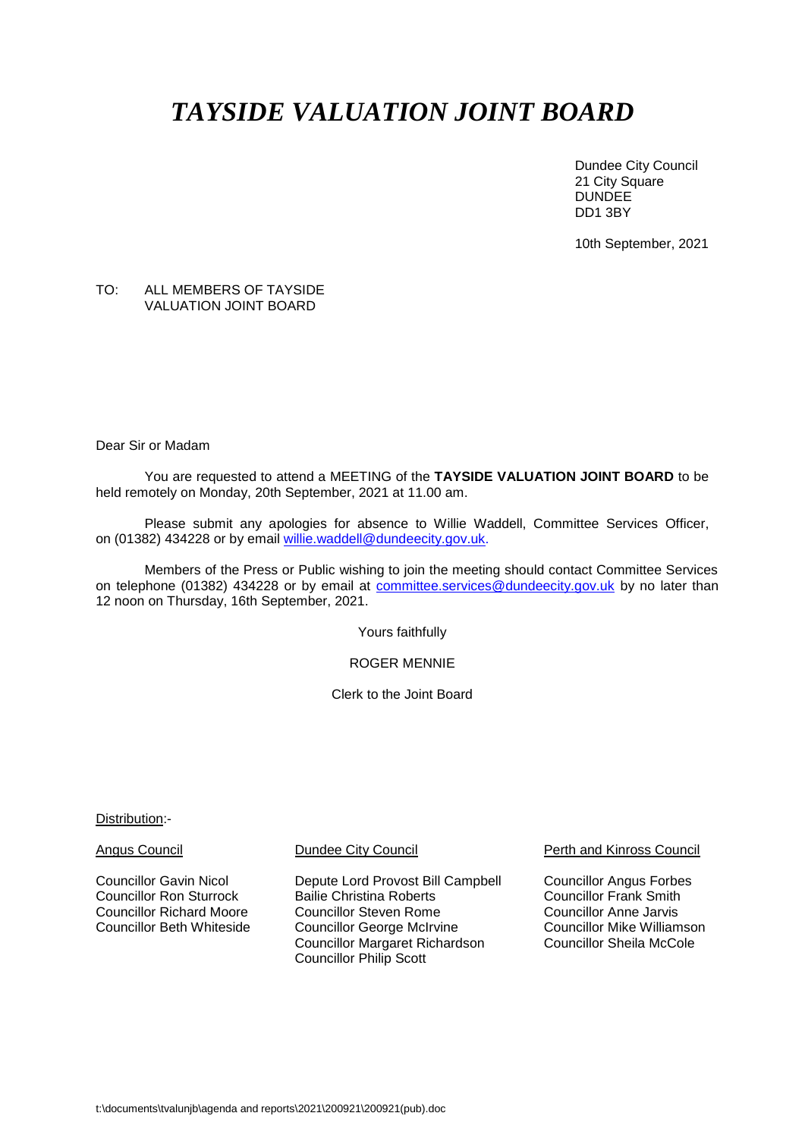# *TAYSIDE VALUATION JOINT BOARD*

Dundee City Council 21 City Square DUNDEE DD1 3BY

10th September, 2021

## TO: ALL MEMBERS OF TAYSIDE VALUATION JOINT BOARD

Dear Sir or Madam

You are requested to attend a MEETING of the **TAYSIDE VALUATION JOINT BOARD** to be held remotely on Monday, 20th September, 2021 at 11.00 am.

Please submit any apologies for absence to Willie Waddell, Committee Services Officer, on (01382) 434228 or by email [willie.waddell@dundeecity.gov.uk.](mailto:willie.waddell@dundeecity.gov.uk)

Members of the Press or Public wishing to join the meeting should contact Committee Services on telephone (01382) 434228 or by email at [committee.services@dundeecity.gov.uk](mailto:committee.services@dundeecity.gov.uk) by no later than 12 noon on Thursday, 16th September, 2021.

Yours faithfully

ROGER MENNIE

Clerk to the Joint Board

Distribution:-

Councillor Gavin Nicol **Depute Lord Provost Bill Campbell** Councillor Angus Forbes<br>Councillor Ron Sturrock Bailie Christina Roberts Councillor Frank Smith Bailie Christina Roberts<br>
Councillor Steven Rome<br>
Councillor Anne Jarvis Councillor Richard Moore Councillor Steven Rome Councillor Anne Jarvis Councillor George McIrvine **Councillor Mike Williamson**<br>Councillor Margaret Richardson Councillor Sheila McCole Councillor Margaret Richardson Councillor Philip Scott

Angus Council Dundee City Council Perth and Kinross Council